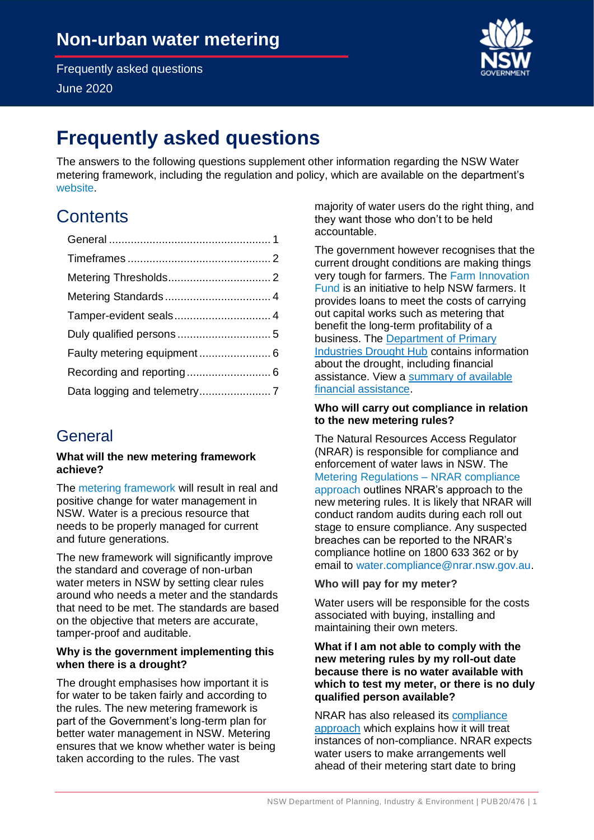June 2020



# **Frequently asked questions**

 The answers to the following questions supplement other information regarding the NSW Water metering framework, including the regulation and policy, which are available on the department's [website.](https://www.industry.nsw.gov.au/water/metering)

# **Contents**

## <span id="page-0-0"></span>General

#### **What will the new metering framework achieve?**

The [metering framework](https://www.industry.nsw.gov.au/water/metering) will result in real and positive change for water management in NSW. Water is a precious resource that needs to be properly managed for current and future generations.

 The new framework will significantly improve the standard and coverage of non-urban water meters in NSW by setting clear rules around who needs a meter and the standards that need to be met. The standards are based on the objective that meters are accurate, tamper-proof and auditable.

## **Why is the government implementing this when there is a drought?**

 The drought emphasises how important it is for water to be taken fairly and according to the rules. The new metering framework is part of the Government's long-term plan for better water management in NSW. Metering ensures that we know whether water is being taken according to the rules. The vast

 majority of water users do the right thing, and they want those who don't to be held accountable.

 The government however recognises that the current drought conditions are making things very tough for farmers. The Farm Innovation [Fund](https://www.raa.nsw.gov.au/loans/farm-innovation-fund) is an initiative to help NSW farmers. It provides loans to meet the costs of carrying out capital works such as metering that benefit the long-term profitability of a business. The Department of Primary **[Industries Drought Hub](https://www.dpi.nsw.gov.au/climate-and-emergencies/droughthub) contains information**  about the drought, including financial assistance. View a summary of available [financial assistance.](https://www.dpi.nsw.gov.au/climate-and-emergencies/droughthub/drought-assistance)

## **Who will carry out compliance in relation to the new metering rules?**

 The Natural Resources Access Regulator (NRAR) is responsible for compliance and enforcement of water laws in NSW. The [approach](https://www.industry.nsw.gov.au/__data/assets/pdf_file/0005/205790/NRAR-compliance-approach-metering-regulations-fact-sheet.pdf) outlines NRAR's approach to the new metering rules. It is likely that NRAR will conduct random audits during each roll out stage to ensure compliance. Any suspected breaches can be reported to the NRAR's compliance hotline on 1800 633 362 or by [Metering Regulations –](https://www.industry.nsw.gov.au/__data/assets/pdf_file/0005/205790/NRAR-compliance-approach-metering-regulations-fact-sheet.pdf) NRAR compliance email to [water.compliance@nrar.nsw.gov.au.](mailto:water.compliance@nrar.nsw.gov.au)

## **Who will pay for my meter?**

 Water users will be responsible for the costs associated with buying, installing and maintaining their own meters.

### **What if I am not able to comply with the new metering rules by my roll-out date because there is no water available with which to test my meter, or there is no duly qualified person available?**

### NRAR has also released its compliance [approach](https://www.industry.nsw.gov.au/__data/assets/pdf_file/0005/205790/NRAR-compliance-approach-metering-regulations-fact-sheet.pdf) which explains how it will treat instances of non-compliance. NRAR expects water users to make arrangements well ahead of their metering start date to bring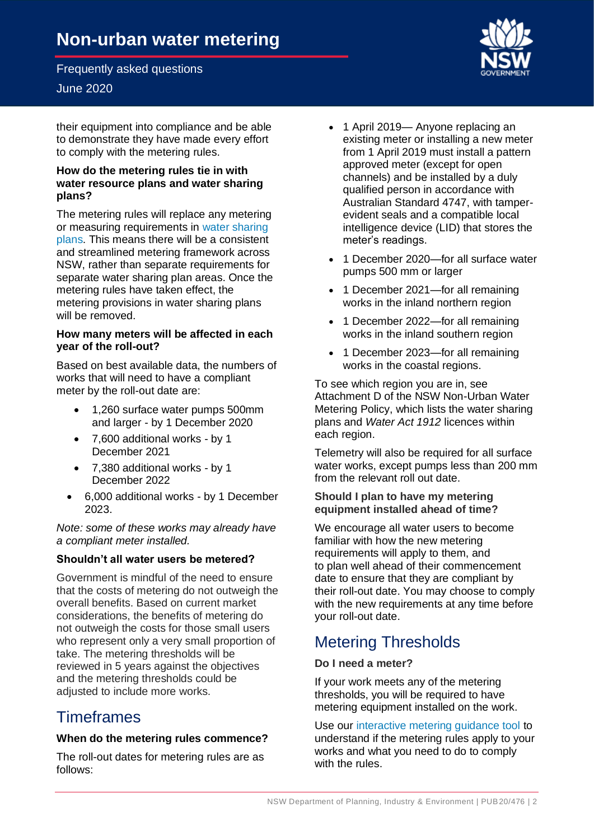## June 2020

 their equipment into compliance and be able to demonstrate they have made every effort to comply with the metering rules.

#### **How do the metering rules tie in with water resource plans and water sharing plans?**

 The metering rules will replace any metering or measuring requirements in water sharing [plans.](https://www.industry.nsw.gov.au/water/plans-programs/water-sharing-plans) This means there will be a consistent and streamlined metering framework across NSW, rather than separate requirements for separate water sharing plan areas. Once the metering rules have taken effect, the metering provisions in water sharing plans will be removed.

#### **How many meters will be affected in each year of the roll-out?**

 Based on best available data, the numbers of works that will need to have a compliant meter by the roll-out date are:

- • 1,260 surface water pumps 500mm and larger - by 1 December 2020
- • 7,600 additional works by 1 December 2021
- • 7,380 additional works by 1 December 2022
- • 6,000 additional works by 1 December 2023.

 *Note: some of these works may already have a compliant meter installed.* 

## **Shouldn't all water users be metered?**

 Government is mindful of the need to ensure that the costs of metering do not outweigh the overall benefits. Based on current market considerations, the benefits of metering do not outweigh the costs for those small users who represent only a very small proportion of take. The metering thresholds will be reviewed in 5 years against the objectives and the metering thresholds could be adjusted to include more works.

## <span id="page-1-0"></span>**Timeframes**

#### **When do the metering rules commence?**

 The roll-out dates for metering rules are as follows:

- • 1 April 2019— Anyone replacing an existing meter or installing a new meter from 1 April 2019 must install a pattern approved meter (except for open channels) and be installed by a duly qualified person in accordance with Australian Standard 4747, with tamper- evident seals and a compatible local intelligence device (LID) that stores the meter's readings.
- • 1 December 2020—for all surface water pumps 500 mm or larger
- • 1 December 2021—for all remaining works in the inland northern region
- • 1 December 2022—for all remaining works in the inland southern region
- • 1 December 2023—for all remaining works in the coastal regions.

 To see which region you are in, see Attachment D of the NSW Non-Urban Water Metering Policy, which lists the water sharing  plans and *Water Act 1912* licences within each region.

 Telemetry will also be required for all surface water works, except pumps less than 200 mm from the relevant roll out date.

#### **Should I plan to have my metering equipment installed ahead of time?**

 We encourage all water users to become familiar with how the new metering requirements will apply to them, and to plan well ahead of their commencement date to ensure that they are compliant by their roll-out date. You may choose to comply with the new requirements at any time before your roll-out date.

## <span id="page-1-1"></span>Metering Thresholds

## **Do I need a meter?**

 If your work meets any of the metering thresholds, you will be required to have metering equipment installed on the work.

 Use our [interactive metering guidance tool](http://www.industry.nsw.gov.au/water/metering) to understand if the metering rules apply to your works and what you need to do to comply with the rules.

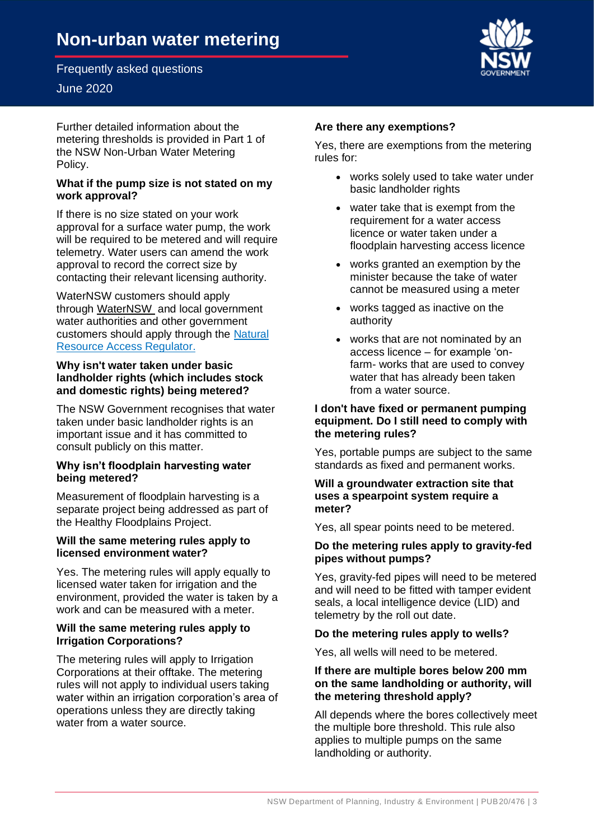## June 2020

 Further detailed information about the metering thresholds is provided in Part 1 of the [NSW Non-Urban Water Metering](https://www.industry.nsw.gov.au/__data/assets/pdf_file/0017/205442/NSW-non-urban-water-metering-policy.pdf)  [Policy.](https://www.industry.nsw.gov.au/__data/assets/pdf_file/0017/205442/NSW-non-urban-water-metering-policy.pdf)

## **What if the pump size is not stated on my work approval?**

 If there is no size stated on your work approval for a surface water pump, the work will be required to be metered and will require telemetry. Water users can amend the work approval to record the correct size by contacting their relevant licensing authority.

through [WaterNSW](https://www.waternsw.com.au/customer-service/water-licensing/approvals/water-supply-work-and-use-approvals) and local government water authorities and other government [Resource Access Regulator.](https://www.industry.nsw.gov.au/water/licensing-trade/approvals/applications-fees) WaterNSW customers should apply customers should apply through the [Natural](https://www.industry.nsw.gov.au/water/licensing-trade/approvals/applications-fees) 

### **Why isn't water taken under basic landholder rights (which includes stock and domestic rights) being metered?**

 The NSW Government recognises that water taken under basic landholder rights is an important issue and it has committed to consult publicly on this matter.

## **Why isn't floodplain harvesting water being metered?**

 Measurement of floodplain harvesting is a separate project being addressed as part of the [Healthy Floodplains Project.](https://www.industry.nsw.gov.au/water/plans-programs/healthy-floodplains-project)

## **Will the same metering rules apply to licensed environment water?**

 Yes. The metering rules will apply equally to licensed water taken for irrigation and the environment, provided the water is taken by a work and can be measured with a meter.

## **Will the same metering rules apply to Irrigation Corporations?**

 The metering rules will apply to Irrigation Corporations at their offtake. The metering rules will not apply to individual users taking water within an irrigation corporation's area of operations unless they are directly taking water from a water source.

## **Are there any exemptions?**

 Yes, there are exemptions from the metering rules for:

- • works solely used to take water under basic landholder rights
- • water take that is exempt from the requirement for a water access licence or water taken under a floodplain harvesting access licence
- • works granted an exemption by the minister because the take of water cannot be measured using a meter
- • works tagged as inactive on the authority
- • works that are not nominated by an access licence – for example 'on- farm- works that are used to convey water that has already been taken from a water source.

## **I don't have fixed or permanent pumping equipment. Do I still need to comply with the metering rules?**

 Yes, portable pumps are subject to the same standards as fixed and permanent works.

#### **Will a groundwater extraction site that uses a spearpoint system require a meter?**

Yes, all spear points need to be metered.

## **Do the metering rules apply to gravity-fed pipes without pumps?**

 Yes, gravity-fed pipes will need to be metered and will need to be fitted with tamper evident seals, a local intelligence device (LID) and telemetry by the roll out date.

## **Do the metering rules apply to wells?**

Yes, all wells will need to be metered.

### **If there are multiple bores below 200 mm on the same landholding or authority, will the metering threshold apply?**

 All depends where the bores collectively meet the multiple bore threshold. This rule also applies to multiple pumps on the same landholding or authority.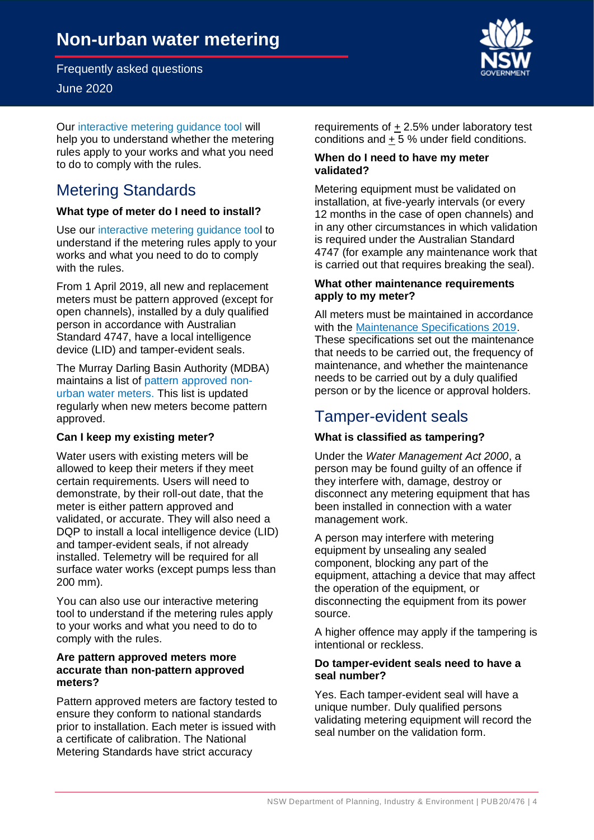June 2020

 Our [interactive metering guidance tool w](https://www.industry.nsw.gov.au/water/metering/)ill help you to understand whether the metering rules apply to your works and what you need to do to comply with the rules.

## <span id="page-3-0"></span>Metering Standards

## **What type of meter do I need to install?**

 Use our [interactive metering guidance tool](https://www.industry.nsw.gov.au/water/metering/) to understand if the metering rules apply to your works and what you need to do to comply with the rules.

 From 1 April 2019, all new and replacement meters must be pattern approved (except for open channels), installed by a duly qualified person in accordance with Australian Standard 4747, have a local intelligence device (LID) and tamper-evident seals.

 The Murray Darling Basin Authority (MDBA) maintains a list of [pattern approved non-](https://www.mdba.gov.au/publications/mdba-reports/compliance-enforcement-documents) [urban water meters.](https://www.mdba.gov.au/publications/mdba-reports/compliance-enforcement-documents) This list is updated regularly when new meters become pattern approved.

## **Can I keep my existing meter?**

 Water users with existing meters will be allowed to keep their meters if they meet certain requirements. Users will need to demonstrate, by their roll-out date, that the meter is either pattern approved and validated, or accurate. They will also need a DQP to install a local intelligence device (LID) and tamper-evident seals, if not already installed. Telemetry will be required for all surface water works (except pumps less than 200 mm).

 You can also use our [interactive metering](http://www.industry.nsw.gov.au/water/metering)  [tool](http://www.industry.nsw.gov.au/water/metering) to understand if the metering rules apply to your works and what you need to do to comply with the rules.

### **Are pattern approved meters more accurate than non-pattern approved meters?**

 Pattern approved meters are factory tested to ensure they conform to national standards prior to installation. Each meter is issued with a certificate of calibration. The National Metering Standards have strict accuracy

conditions and  $\pm$  5 % under field conditions. requirements of  $\pm 2.5\%$  under laboratory test

#### **When do I need to have my meter validated?**

 Metering equipment must be validated on installation, at five-yearly intervals (or every 12 months in the case of open channels) and in any other circumstances in which validation is required under the Australian Standard 4747 (for example any maintenance work that is carried out that requires breaking the seal).

### **apply to my meter? What other maintenance requirements**

 All meters must be maintained in accordance These specifications set out the maintenance that needs to be carried out, the frequency of maintenance, and whether the maintenance needs to be carried out by a duly qualified person or by the licence or approval holders. with the [Maintenance Specifications 2019.](https://www.industry.nsw.gov.au/__data/assets/pdf_file/0014/224033/Maintenance-Specifications-Gvt-Gazette-No-27-Friday-29-March-2019.pdf)

## <span id="page-3-1"></span>Tamper-evident seals

## **What is classified as tampering?**

 Under the *Water Management Act 2000*, a person may be found guilty of an offence if they interfere with, damage, destroy or disconnect any metering equipment that has been installed in connection with a water management work.

 A person may interfere with metering equipment by unsealing any sealed component, blocking any part of the equipment, attaching a device that may affect the operation of the equipment, or disconnecting the equipment from its power source.

 A higher offence may apply if the tampering is intentional or reckless.

#### **Do tamper-evident seals need to have a seal number?**

 Yes. Each tamper-evident seal will have a unique number. Duly qualified persons validating metering equipment will record the seal number on the validation form.

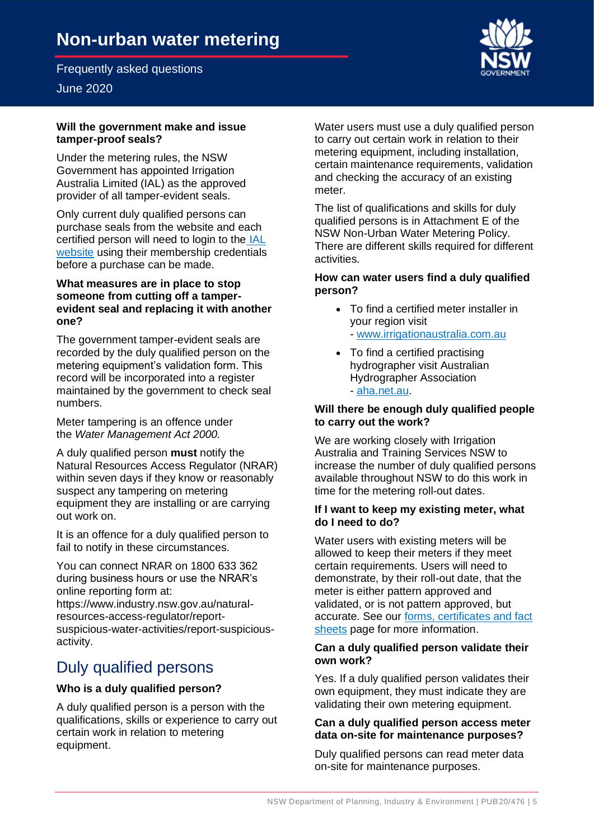## June 2020

#### **Will the government make and issue tamper-proof seals?**

 Under the metering rules, the NSW Government has appointed Irrigation Australia Limited (IAL) as the approved provider of all tamper-evident seals.

 Only current duly qualified persons can purchase seals from the website and each certified person will need to login to the IAL [website](https://www.irrigationaustralia.com.au/) using their membership credentials before a purchase can be made.

#### **What measures are in place to stop someone from cutting off a tamper- evident seal and replacing it with another one?**

 The government tamper-evident seals are recorded by the duly qualified person on the metering equipment's validation form. This record will be incorporated into a register maintained by the government to check seal numbers.

 Meter tampering is an offence under  the *Water Management Act 2000.* 

 Natural Resources Access Regulator (NRAR) within seven days if they know or reasonably suspect any tampering on metering equipment they are installing or are carrying A duly qualified person **must** notify the out work on.

 It is an offence for a duly qualified person to fail to notify in these circumstances.

 You can connect NRAR on 1800 633 362 during business hours or use the NRAR's online reporting form at: <https://www.industry.nsw.gov.au/natural>resources-access-regulator/reportsuspicious-water-activities/report-suspiciousactivity.

## <span id="page-4-0"></span>Duly qualified persons

## **Who is a duly qualified person?**

 A duly qualified person is a person with the qualifications, skills or experience to carry out certain work in relation to metering equipment.

 Water users must use a duly qualified person to carry out certain work in relation to their metering equipment, including installation, certain maintenance requirements, validation and checking the accuracy of an existing meter.

 The list of qualifications and skills for duly qualified persons is in Attachment E of the NSW Non-Urban Water Metering Policy. There are different skills required for different activities.

### **How can water users find a duly qualified person?**

- • To find a certified meter installer in your region visit - [www.irrigationaustralia.com.au](https://www.irrigationaustralia.com.au/)
- • To find a certified practising hydrographer visit Australian Hydrographer Association - [aha.net.au.](https://aha.net.au/)

### **Will there be enough duly qualified people to carry out the work?**

 We are working closely with Irrigation Australia and Training Services NSW to increase the number of duly qualified persons available throughout NSW to do this work in time for the metering roll-out dates.

#### **If I want to keep my existing meter, what do I need to do?**

 Water users with existing meters will be allowed to keep their meters if they meet certain requirements. Users will need to demonstrate, by their roll-out date, that the validated, or is not pattern approved, but accurate. See our forms, certificates and fact [sheets](https://www.industry.nsw.gov.au/water/metering/forms-certificates-factsheets/) page for more information. meter is either pattern approved and

#### **Can a duly qualified person validate their own work?**

 Yes. If a duly qualified person validates their own equipment, they must indicate they are validating their own metering equipment.

## **Can a duly qualified person access meter data on-site for maintenance purposes?**

 Duly qualified persons can read meter data on-site for maintenance purposes.

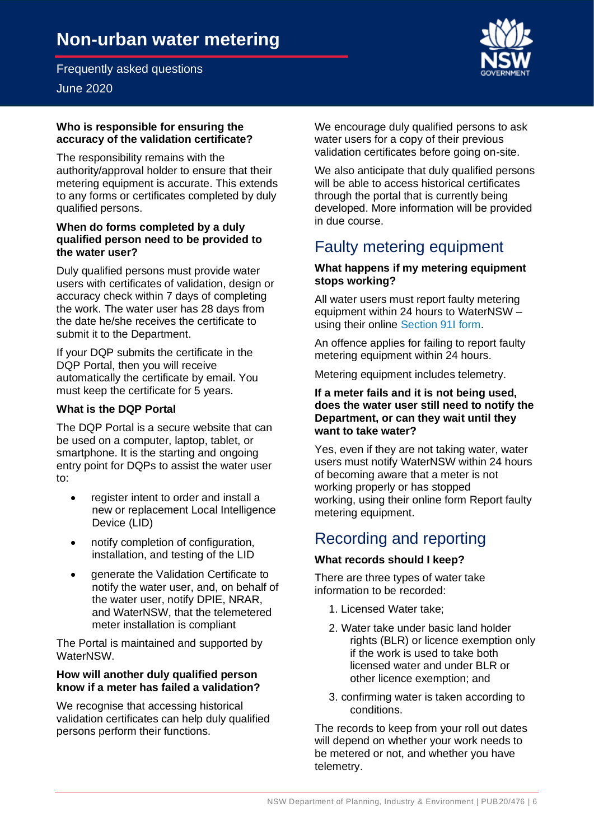## June 2020

#### **Who is responsible for ensuring the accuracy of the validation certificate?**

 The responsibility remains with the authority/approval holder to ensure that their metering equipment is accurate. This extends to any forms or certificates completed by duly qualified persons.

#### **When do forms completed by a duly qualified person need to be provided to the water user?**

 Duly qualified persons must provide water users with certificates of validation, design or accuracy check within 7 days of completing the work. The water user has 28 days from the date he/she receives the certificate to submit it to the Department.

 If your DQP submits the certificate in the DQP Portal, then you will receive automatically the certificate by email. You must keep the certificate for 5 years.

## **What is the DQP Portal**

 The DQP Portal is a secure website that can be used on a computer, laptop, tablet, or smartphone. It is the starting and ongoing entry point for DQPs to assist the water user to:

- new or replacement Local Intelligence • register intent to order and install a Device (LID)
- $\bullet$  installation, and testing of the LID • notify completion of configuration,
- $\bullet$  notify the water user, and, on behalf of the water user, notify DPIE, NRAR, and WaterNSW, that the telemetered meter installation is compliant • generate the Validation Certificate to

 The Portal is maintained and supported by WaterNSW.

## **know if a meter has failed a validation? How will another duly qualified person**

 We recognise that accessing historical validation certificates can help duly qualified persons perform their functions.

 We encourage duly qualified persons to ask water users for a copy of their previous validation certificates before going on-site.

 We also anticipate that duly qualified persons will be able to access historical certificates through the portal that is currently being developed. More information will be provided in due course.

## <span id="page-5-0"></span>Faulty metering equipment

## **What happens if my metering equipment stops working?**

 All water users must report faulty metering equipment within 24 hours to WaterNSW – using their online [Section 91I form.](http://www.waternsw.com.au/customer-service/service-and-help/forms/s91i-application-for-an-authority-to-take-water)

 An offence applies for failing to report faulty metering equipment within 24 hours.

Metering equipment includes telemetry.

#### **If a meter fails and it is not being used, does the water user still need to notify the Department, or can they wait until they want to take water?**

 Yes, even if they are not taking water, water users must notify WaterNSW within 24 hours of becoming aware that a meter is not working properly or has stopped working, using their online form Report faulty metering equipment.

## <span id="page-5-1"></span>Recording and reporting

## **What records should I keep?**

 There are three types of water take information to be recorded:

- 1. Licensed Water take;
- 2. Water take under basic land holder rights (BLR) or licence exemption only if the work is used to take both licensed water and under BLR or other licence exemption; and
- 3. confirming water is taken according to conditions.

 The records to keep from your roll out dates will depend on whether your work needs to be metered or not, and whether you have telemetry.



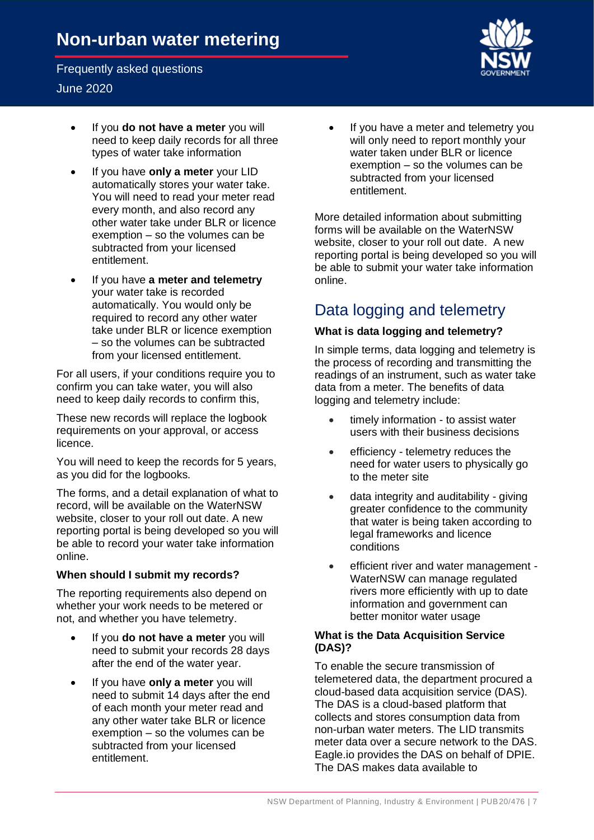## June 2020

- • If you **do not have a meter** you will need to keep daily records for all three types of water take information
- • If you have **only a meter** your LID automatically stores your water take. You will need to read your meter read every month, and also record any other water take under BLR or licence exemption – so the volumes can be subtracted from your licensed entitlement.
- • If you have **a meter and telemetry**  your water take is recorded automatically. You would only be required to record any other water take under BLR or licence exemption – so the volumes can be subtracted from your licensed entitlement.

 For all users, if your conditions require you to confirm you can take water, you will also need to keep daily records to confirm this,

 These new records will replace the logbook requirements on your approval, or access licence.

 You will need to keep the records for 5 years, as you did for the logbooks.

 The forms, and a detail explanation of what to record, will be available on the WaterNSW website, closer to your roll out date. A new reporting portal is being developed so you will be able to record your water take information online.

## **When should I submit my records?**

 The reporting requirements also depend on whether your work needs to be metered or not, and whether you have telemetry.

- • If you **do not have a meter** you will need to submit your records 28 days after the end of the water year.
- • If you have **only a meter** you will need to submit 14 days after the end of each month your meter read and any other water take BLR or licence exemption – so the volumes can be subtracted from your licensed entitlement.

 • If you have a meter and telemetry you will only need to report monthly your water taken under BLR or licence exemption – so the volumes can be subtracted from your licensed entitlement.

 More detailed information about submitting forms will be available on the WaterNSW website, closer to your roll out date. A new reporting portal is being developed so you will be able to submit your water take information online.

## <span id="page-6-0"></span>Data logging and telemetry

## **What is data logging and telemetry?**

 In simple terms, data logging and telemetry is the process of recording and transmitting the readings of an instrument, such as water take data from a meter. The benefits of data logging and telemetry include:

- • timely information to assist water users with their business decisions
- need for water users to physically go to the meter site • efficiency - telemetry reduces the
- greater confidence to the community that water is being taken according to legal frameworks and licence • data integrity and auditability - giving conditions
- • efficient river and water management WaterNSW can manage regulated rivers more efficiently with up to date information and government can better monitor water usage

## **What is the Data Acquisition Service (DAS)?**

 To enable the secure transmission of telemetered data, the department procured a cloud-based data acquisition service (DAS). The DAS is a cloud-based platform that collects and stores consumption data from non-urban water meters. The LID transmits meter data over a secure network to the DAS. [Eagle.io](https://Eagle.io) provides the DAS on behalf of DPIE. The DAS makes data available to

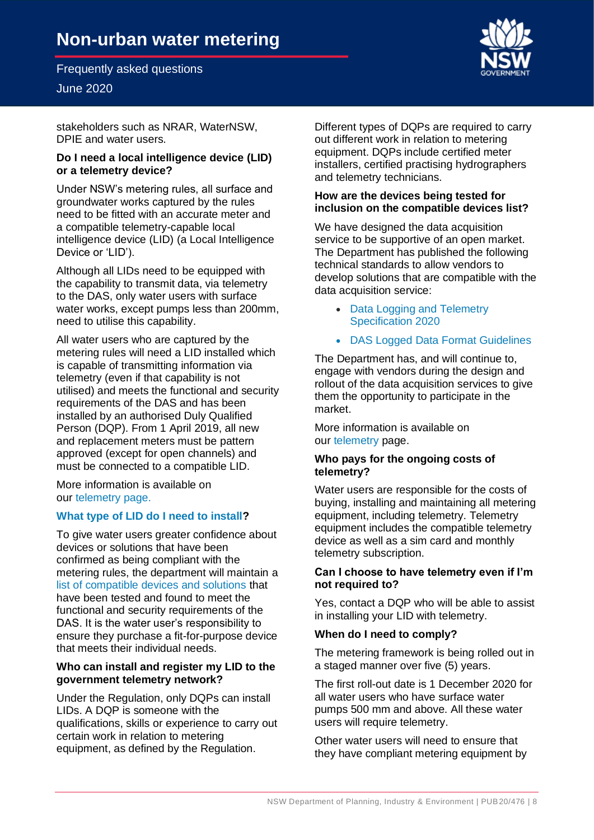# **Non-urban water metering**

Frequently asked questions

## June 2020

 stakeholders such as NRAR, WaterNSW, DPIE and water users.

#### **Do I need a local intelligence device (LID) or a telemetry device?**

 Under NSW's metering rules, all surface and groundwater works captured by the rules need to be fitted with an accurate meter and a compatible telemetry-capable local intelligence device (LID) (a Local Intelligence Device or 'LID').

 Although all LIDs need to be equipped with the capability to transmit data, via telemetry to the DAS, only water users with surface water works, except pumps less than 200mm, need to utilise this capability.

 All water users who are captured by the metering rules will need a LID installed which is capable of transmitting information via telemetry (even if that capability is not utilised) and meets the functional and security requirements of the DAS and has been installed by an authorised Duly Qualified Person (DQP). From 1 April 2019, all new and replacement meters must be pattern approved (except for open channels) and must be connected to a compatible LID.

 More information is available on our [telemetry page.](https://www.industry.nsw.gov.au/water/metering/telemetry/) 

## **[What type of LID do I need to install?](https://www.industry.nsw.gov.au/water/metering/telemetry/)**

 To give water users greater confidence about devices or solutions that have been confirmed as being compliant with the metering rules, the department will maintain a [list of compatible devices and solutions](https://www.industry.nsw.gov.au/water/metering/telemetry/list-of-compatible-data-logging-and-telemetry-devices-and-solutions/) that have been tested and found to meet the functional and security requirements of the DAS. It is the water user's responsibility to ensure they purchase a fit-for-purpose device that meets their individual needs.

#### **Who can install and register my LID to the government telemetry network?**

 Under the Regulation, only DQPs can install LIDs. A DQP is someone with the qualifications, skills or experience to carry out certain work in relation to metering equipment, as defined by the Regulation.

 Different types of DQPs are required to carry out different work in relation to metering equipment. DQPs include certified meter installers, certified practising hydrographers and telemetry technicians.

#### **How are the devices being tested for inclusion on the compatible devices list?**

 We have designed the data acquisition service to be supportive of an open market. The Department has published the following technical standards to allow vendors to develop solutions that are compatible with the data acquisition service:

- • [Data Logging and Telemetry](https://www.industry.nsw.gov.au/water/metering/telemetry/support-docs/5.-Data-logging-and-telemetry-specifications-2020.pdf/)  [Specification 2020](https://www.industry.nsw.gov.au/water/metering/telemetry/support-docs/5.-Data-logging-and-telemetry-specifications-2020.pdf/)
- [DAS Logged Data Format Guidelines](https://www.industry.nsw.gov.au/water/metering/telemetry/support-docs/data-acquisition-service-logged-data-format-guidelines.pdf/)

 The Department has, and will continue to, engage with vendors during the design and rollout of the data acquisition services to give them the opportunity to participate in the market.

 More information is available on our [telemetry p](https://www.industry.nsw.gov.au/water/metering/telemetry/)age.

#### **Who pays for the ongoing costs of telemetry?**

 Water users are responsible for the costs of buying, installing and maintaining all metering equipment, including telemetry. Telemetry equipment includes the compatible telemetry device as well as a sim card and monthly telemetry subscription.

#### **Can I choose to have telemetry even if I'm not required to?**

 Yes, contact a DQP who will be able to assist in installing your LID with telemetry.

#### **When do I need to comply?**

 The metering framework is being rolled out in a staged manner over five (5) years.

 The first roll-out date is 1 December 2020 for all water users who have surface water pumps 500 mm and above. All these water users will require telemetry.

 Other water users will need to ensure that they have compliant metering equipment by

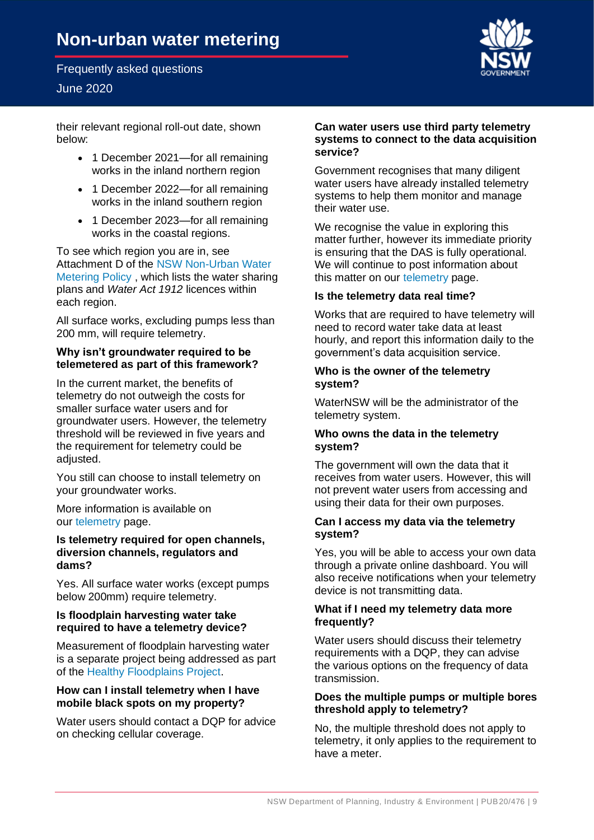## June 2020

 their relevant regional roll-out date, shown below:

- • 1 December 2021—for all remaining works in the inland northern region
- • 1 December 2022—for all remaining works in the inland southern region
- • 1 December 2023—for all remaining works in the coastal regions.

 To see which region you are in, see Attachment D of the [NSW Non-Urban Water](https://www.industry.nsw.gov.au/water/metering/overview-of-the-non-urban-water-metering-framework/support-docs/NSW-non-urban-water-metering-policy.pdf/)  [Metering Policy](https://www.industry.nsw.gov.au/water/metering/overview-of-the-non-urban-water-metering-framework/support-docs/NSW-non-urban-water-metering-policy.pdf/) , which lists the water sharing  plans and *Water Act 1912* licences within each region.

 All surface works, excluding pumps less than 200 mm, will require telemetry.

### **Why isn't groundwater required to be telemetered as part of this framework?**

 In the current market, the benefits of telemetry do not outweigh the costs for smaller surface water users and for threshold will be reviewed in five years and the requirement for telemetry could be groundwater users. However, the telemetry adjusted.

 You still can choose to install telemetry on your groundwater works.

 More information is available on our [telemetry p](https://www.industry.nsw.gov.au/water/metering/telemetry/)age.

### **Is telemetry required for open channels, diversion channels, regulators and dams?**

 Yes. All surface water works (except pumps below 200mm) require telemetry.

#### **required to have a telemetry device? Is floodplain harvesting water take**

 Measurement of floodplain harvesting water is a separate project being addressed as part of the [Healthy Floodplains Project.](https://www.industry.nsw.gov.au/water/plans-programs/healthy-floodplains-project)

#### **How can I install telemetry when I have mobile black spots on my property?**

 Water users should contact a DQP for advice on checking cellular coverage.

#### **Can water users use third party telemetry systems to connect to the data acquisition service?**

 Government recognises that many diligent water users have already installed telemetry systems to help them monitor and manage their water use.

 We recognise the value in exploring this matter further, however its immediate priority is ensuring that the DAS is fully operational. We will continue to post information about this matter on our [telemetry p](https://www.industry.nsw.gov.au/water/metering/telemetry/)age.

#### **Is the telemetry data real time?**

 Works that are required to have telemetry will need to record water take data at least hourly, and report this information daily to the government's data acquisition service.

#### **Who is the owner of the telemetry system?**

 WaterNSW will be the administrator of the telemetry system.

#### **Who owns the data in the telemetry system?**

 The government will own the data that it receives from water users. However, this will not prevent water users from accessing and using their data for their own purposes.

#### **Can I access my data via the telemetry system?**

 Yes, you will be able to access your own data through a private online dashboard. You will also receive notifications when your telemetry device is not transmitting data.

#### **What if I need my telemetry data more frequently?**

 requirements with a DQP, they can advise the various options on the frequency of data Water users should discuss their telemetry transmission.

#### **Does the multiple pumps or multiple bores threshold apply to telemetry?**

 No, the multiple threshold does not apply to telemetry, it only applies to the requirement to have a meter.